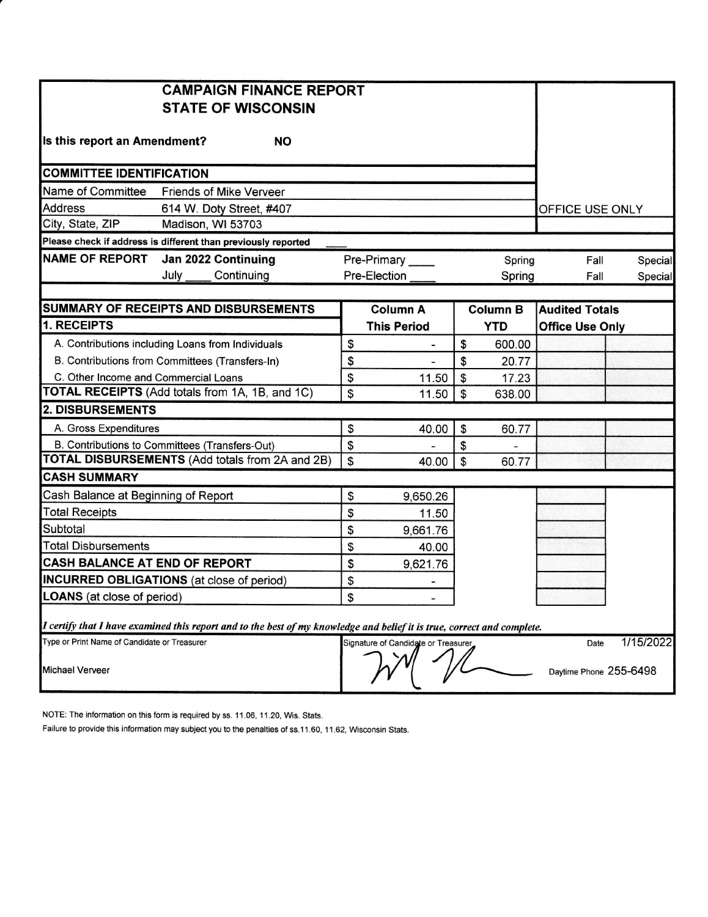|                                                        | <b>CAMPAIGN FINANCE REPORT</b>                                                                                          |               |                                     |                           |                        |                        |           |
|--------------------------------------------------------|-------------------------------------------------------------------------------------------------------------------------|---------------|-------------------------------------|---------------------------|------------------------|------------------------|-----------|
|                                                        | <b>STATE OF WISCONSIN</b>                                                                                               |               |                                     |                           |                        |                        |           |
|                                                        |                                                                                                                         |               |                                     |                           |                        |                        |           |
| Is this report an Amendment?                           | <b>NO</b>                                                                                                               |               |                                     |                           |                        |                        |           |
|                                                        |                                                                                                                         |               |                                     |                           |                        |                        |           |
| <b>COMMITTEE IDENTIFICATION</b>                        |                                                                                                                         |               |                                     |                           |                        |                        |           |
| Name of Committee                                      | <b>Friends of Mike Verveer</b>                                                                                          |               |                                     |                           |                        |                        |           |
| <b>Address</b>                                         | 614 W. Doty Street, #407                                                                                                |               |                                     |                           |                        | OFFICE USE ONLY        |           |
| City, State, ZIP                                       | Madison, WI 53703                                                                                                       |               |                                     |                           |                        |                        |           |
|                                                        | Please check if address is different than previously reported                                                           |               |                                     |                           |                        |                        |           |
| <b>NAME OF REPORT</b>                                  | Jan 2022 Continuing                                                                                                     |               | Pre-Primary<br>Spring               |                           |                        | Fall                   | Special   |
|                                                        | July<br>Continuing                                                                                                      |               | Pre-Election                        |                           | Spring                 | Fall                   | Special   |
|                                                        |                                                                                                                         |               |                                     |                           |                        |                        |           |
|                                                        | SUMMARY OF RECEIPTS AND DISBURSEMENTS                                                                                   |               | <b>Column A</b>                     |                           | <b>Column B</b>        | <b>Audited Totals</b>  |           |
| 1. RECEIPTS                                            |                                                                                                                         |               | <b>This Period</b>                  |                           | <b>YTD</b>             | <b>Office Use Only</b> |           |
|                                                        | A. Contributions including Loans from Individuals                                                                       | \$            | $\blacksquare$                      | \$                        | 600.00                 |                        |           |
| B. Contributions from Committees (Transfers-In)        |                                                                                                                         | \$            |                                     | \$                        | 20.77                  |                        |           |
| C. Other Income and Commercial Loans                   |                                                                                                                         | \$            | 11.50                               | \$                        | 17.23                  |                        |           |
| <b>TOTAL RECEIPTS</b> (Add totals from 1A, 1B, and 1C) |                                                                                                                         | \$            | 11.50                               | $\boldsymbol{\mathsf{S}}$ | 638.00                 |                        |           |
| <b>2. DISBURSEMENTS</b>                                |                                                                                                                         |               |                                     |                           |                        |                        |           |
| A. Gross Expenditures                                  |                                                                                                                         | \$            | 40.00                               | \$                        | 60.77                  |                        |           |
|                                                        | B. Contributions to Committees (Transfers-Out)                                                                          | \$            |                                     | \$                        |                        |                        |           |
| <b>TOTAL DISBURSEMENTS (Add totals from 2A and 2B)</b> |                                                                                                                         | $\mathfrak s$ | 40.00                               | $\mathfrak{S}$            | 60.77                  |                        |           |
| <b>CASH SUMMARY</b>                                    |                                                                                                                         |               |                                     |                           |                        |                        |           |
| Cash Balance at Beginning of Report                    |                                                                                                                         | \$            | 9,650.26                            |                           |                        |                        |           |
| <b>Total Receipts</b>                                  |                                                                                                                         | \$            | 11.50                               |                           |                        |                        |           |
| Subtotal                                               |                                                                                                                         | \$            | 9,661.76                            |                           |                        |                        |           |
| <b>Total Disbursements</b>                             |                                                                                                                         | \$            | 40.00                               |                           |                        |                        |           |
| CASH BALANCE AT END OF REPORT                          |                                                                                                                         | \$            | 9,621.76                            |                           |                        |                        |           |
|                                                        | <b>INCURRED OBLIGATIONS</b> (at close of period)                                                                        | \$            | -                                   |                           |                        |                        |           |
| <b>LOANS</b> (at close of period)                      |                                                                                                                         | \$            |                                     |                           |                        |                        |           |
|                                                        |                                                                                                                         |               |                                     |                           |                        |                        |           |
|                                                        | I certify that I have examined this report and to the best of my knowledge and belief it is true, correct and complete. |               |                                     |                           |                        |                        |           |
| Type or Print Name of Candidate or Treasurer           |                                                                                                                         |               | Signature of Candidate or Treasurer |                           |                        | Date                   | 1/15/2022 |
|                                                        |                                                                                                                         |               |                                     |                           |                        |                        |           |
| Michael Verveer                                        |                                                                                                                         |               |                                     |                           | Daytime Phone 255-6498 |                        |           |
|                                                        |                                                                                                                         |               |                                     |                           |                        |                        |           |

NOTE: The information on this form is required by ss. 11.06, 11.20, Wis. Stats.

Failure to provide this information may subject you to the penalties of ss.11.60, 11.62, Wisconsin Stats.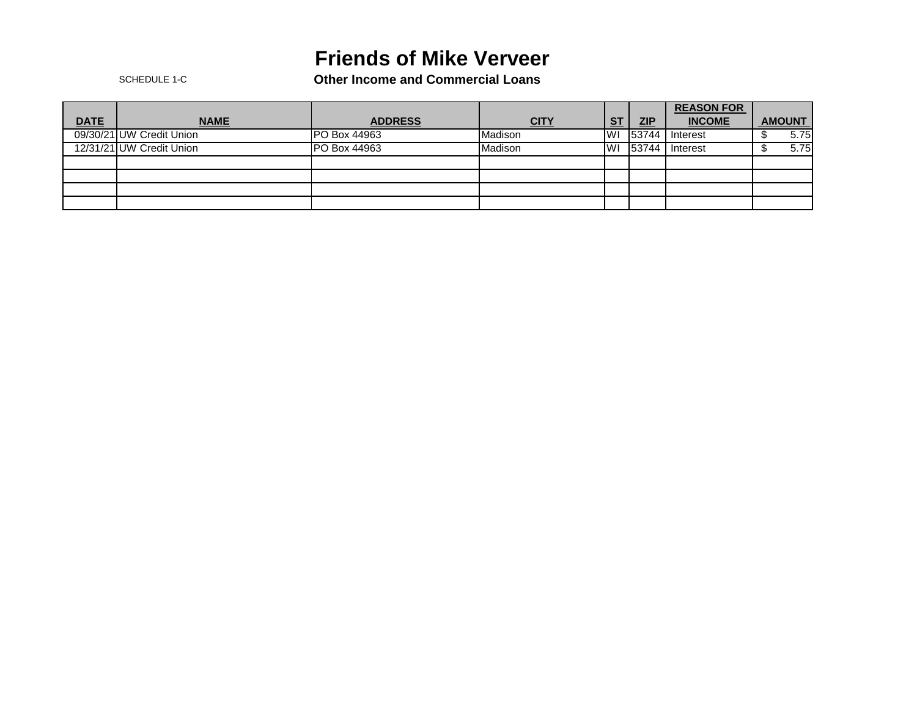## **Friends of Mike Verveer**

SCHEDULE 1-C **Other Income and Commercial Loans**

|             |                          |                     |             |           |       | <b>REASON FOR</b> |               |
|-------------|--------------------------|---------------------|-------------|-----------|-------|-------------------|---------------|
| <b>DATE</b> | <b>NAME</b>              | <b>ADDRESS</b>      | <u>CITY</u> | <b>ST</b> | ZIP   | <b>INCOME</b>     | <b>AMOUNT</b> |
|             | 09/30/21 UW Credit Union | <b>PO Box 44963</b> | Madison     | <b>WI</b> | 53744 | Interest          | 5.75          |
|             | 12/31/21 UW Credit Union | <b>PO Box 44963</b> | Madison     | lWI       | 53744 | Interest          | 5.75          |
|             |                          |                     |             |           |       |                   |               |
|             |                          |                     |             |           |       |                   |               |
|             |                          |                     |             |           |       |                   |               |
|             |                          |                     |             |           |       |                   |               |